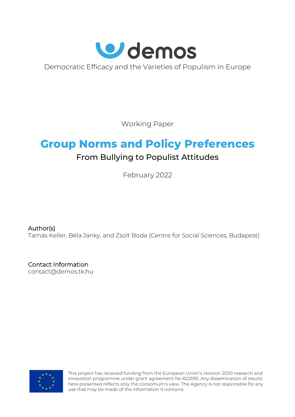

Democratic Efficacy and the Varieties of Populism in Europe

Working Paper

# **Group Norms and Policy Preferences** From Bullying to Populist Attitudes

February 2022

Author(s)

Tamás Keller, Béla Janky, and Zsolt Boda (Centre for Social Sciences, Budapest)

Contact Information [contact@demos.tk.hu](mailto:contact@demos.tk.hu)



This project has received funding from the European Union's Horizon 2020 research and innovation programme under grant agreement No 822590. Any dissemination of results here presented reflects only the consortium's view. The Agency is not responsible for any use that may be made of the information it contains.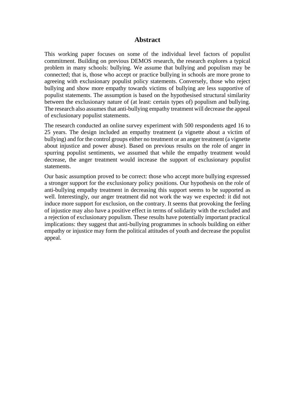#### **Abstract**

This working paper focuses on some of the individual level factors of populist commitment. Building on previous DEMOS research, the research explores a typical problem in many schools: bullying. We assume that bullying and populism may be connected; that is, those who accept or practice bullying in schools are more prone to agreeing with exclusionary populist policy statements. Conversely, those who reject bullying and show more empathy towards victims of bullying are less supportive of populist statements. The assumption is based on the hypothesised structural similarity between the exclusionary nature of (at least: certain types of) populism and bullying. The research also assumes that anti-bullying empathy treatment will decrease the appeal of exclusionary populist statements.

The research conducted an online survey experiment with 500 respondents aged 16 to 25 years. The design included an empathy treatment (a vignette about a victim of bullying) and for the control groups either no treatment or an anger treatment (a vignette about injustice and power abuse). Based on previous results on the role of anger in spurring populist sentiments, we assumed that while the empathy treatment would decrease, the anger treatment would increase the support of exclusionary populist statements.

Our basic assumption proved to be correct: those who accept more bullying expressed a stronger support for the exclusionary policy positions. Our hypothesis on the role of anti-bullying empathy treatment in decreasing this support seems to be supported as well. Interestingly, our anger treatment did not work the way we expected: it did not induce more support for exclusion, on the contrary. It seems that provoking the feeling of injustice may also have a positive effect in terms of solidarity with the excluded and a rejection of exclusionary populism. These results have potentially important practical implications: they suggest that anti-bullying programmes in schools building on either empathy or injustice may form the political attitudes of youth and decrease the populist appeal.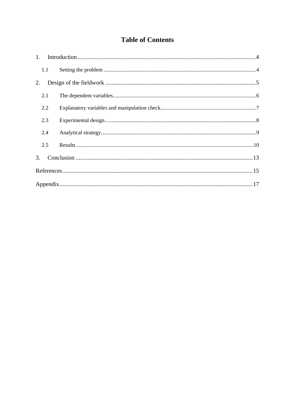## **Table of Contents**

| 1.1 |  |
|-----|--|
| 2.  |  |
| 2.1 |  |
| 2.2 |  |
| 2.3 |  |
| 2.4 |  |
| 2.5 |  |
| 3.  |  |
|     |  |
|     |  |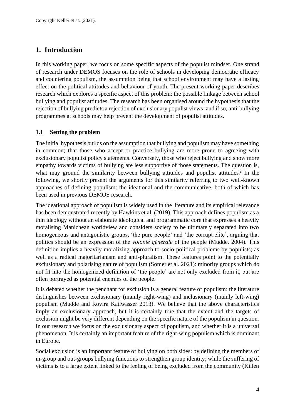## <span id="page-3-0"></span>**1. Introduction**

In this working paper, we focus on some specific aspects of the populist mindset. One strand of research under DEMOS focuses on the role of schools in developing democratic efficacy and countering populism, the assumption being that school environment may have a lasting effect on the political attitudes and behaviour of youth. The present working paper describes research which explores a specific aspect of this problem: the possible linkage between school bullying and populist attitudes. The research has been organised around the hypothesis that the rejection of bullying predicts a rejection of exclusionary populist views; and if so, anti-bullying programmes at schools may help prevent the development of populist attitudes.

#### <span id="page-3-1"></span>**1.1 Setting the problem**

The initial hypothesis builds on the assumption that bullying and populism may have something in common; that those who accept or practice bullying are more prone to agreeing with exclusionary populist policy statements. Conversely, those who reject bullying and show more empathy towards victims of bullying are less supportive of those statements. The question is, what may ground the similarity between bullying attitudes and populist attitudes? In the following, we shortly present the arguments for this similarity referring to two well-known approaches of defining populism: the ideational and the communicative, both of which has been used in previous DEMOS research.

The ideational approach of populism is widely used in the literature and its empirical relevance has been demonstrated recently by Hawkins et al. (2019). This approach defines populism as a thin ideology without an elaborate ideological and programmatic core that expresses a heavily moralising Manichean worldview and considers society to be ultimately separated into two homogeneous and antagonistic groups, 'the pure people' and 'the corrupt elite', arguing that politics should be an expression of the *volonté générale* of the people (Mudde, 2004). This definition implies a heavily moralizing approach to socio-political problems by populists; as well as a radical majoritarianism and anti-pluralism. These features point to the potentially exclusionary and polarising nature of populism (Somer et al. 2021): minority groups which do not fit into the homogenized definition of 'the people' are not only excluded from it, but are often portrayed as potential enemies of the people.

It is debated whether the penchant for exclusion is a general feature of populism: the literature distinguishes between exclusionary (mainly right-wing) and inclusionary (mainly left-wing) populism (Mudde and Rovira Katlwasser 2013). We believe that the above characteristics imply an exclusionary approach, but it is certainly true that the extent and the targets of exclusion might be very different depending on the specific nature of the populism in question. In our research we focus on the exclusionary aspect of populism, and whether it is a universal phenomenon. It is certainly an important feature of the right-wing populism which is dominant in Europe.

Social exclusion is an important feature of bullying on both sides: by defining the members of in-group and out-groups bullying functions to strengthen group identity; while the suffering of victims is to a large extent linked to the feeling of being excluded from the community (Killen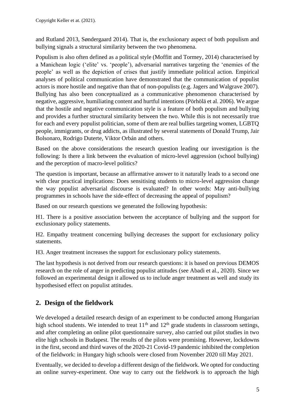and Rutland 2013, Søndergaard 2014). That is, the exclusionary aspect of both populism and bullying signals a structural similarity between the two phenomena.

Populism is also often defined as a political style (Moffitt and Tormey, 2014) characterised by a Manichean logic ('elite' vs. 'people'), adversarial narratives targeting the 'enemies of the people' as well as the depiction of crises that justify immediate political action. Empirical analyses of political communication have demonstrated that the communication of populist actors is more hostile and negative than that of non-populists (e.g. Jagers and Walgrave 2007). Bullying has also been conceptualized as a communicative phenomenon characterised by negative, aggressive, humiliating content and hurtful intentions (Pörhölä et al. 2006). We argue that the hostile and negative communication style is a feature of both populism and bullying and provides a further structural similarity between the two. While this is not necessarily true for each and every populist politician, some of them are real bullies targeting women, LGBTQ people, immigrants, or drug addicts, as illustrated by several statements of Donald Trump, Jair Bolsonaro, Rodrigo Duterte, Viktor Orbán and others.

Based on the above considerations the research question leading our investigation is the following: Is there a link between the evaluation of micro-level aggression (school bullying) and the perception of macro-level politics?

The question is important, because an affirmative answer to it naturally leads to a second one with clear practical implications: Does sensitising students to micro-level aggression change the way populist adversarial discourse is evaluated? In other words: May anti-bullying programmes in schools have the side-effect of decreasing the appeal of populism?

Based on our research questions we generated the following hypothesis:

H1. There is a positive association between the acceptance of bullying and the support for exclusionary policy statements.

H2. Empathy treatment concerning bullying decreases the support for exclusionary policy statements.

H3. Anger treatment increases the support for exclusionary policy statements.

The last hypothesis is not derived from our research questions: it is based on previous DEMOS research on the role of anger in predicting populist attitudes (see Abadi et al., 2020). Since we followed an experimental design it allowed us to include anger treatment as well and study its hypothesised effect on populist attitudes.

## <span id="page-4-0"></span>**2. Design of the fieldwork**

We developed a detailed research design of an experiment to be conducted among Hungarian high school students. We intended to treat  $11<sup>th</sup>$  and  $12<sup>th</sup>$  grade students in classroom settings, and after completing an online pilot questionnaire survey, also carried out pilot studies in two elite high schools in Budapest. The results of the pilots were promising. However, lockdowns in the first, second and third waves of the 2020-21 Covid-19 pandemic inhibited the completion of the fieldwork: in Hungary high schools were closed from November 2020 till May 2021.

Eventually, we decided to develop a different design of the fieldwork. We opted for conducting an online survey-experiment. One way to carry out the fieldwork is to approach the high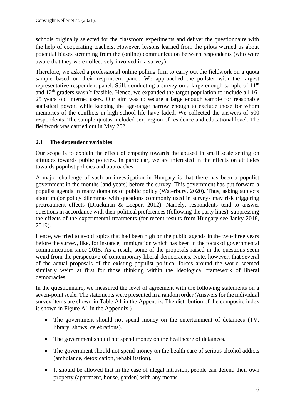schools originally selected for the classroom experiments and deliver the questionnaire with the help of cooperating teachers. However, lessons learned from the pilots warned us about potential biases stemming from the (online) communication between respondents (who were aware that they were collectively involved in a survey).

Therefore, we asked a professional online polling firm to carry out the fieldwork on a quota sample based on their respondent panel. We approached the pollster with the largest representative respondent panel. Still, conducting a survey on a large enough sample of  $11<sup>th</sup>$ and  $12<sup>th</sup>$  graders wasn't feasible. Hence, we expanded the target population to include all 16-25 years old internet users. Our aim was to secure a large enough sample for reasonable statistical power, while keeping the age-range narrow enough to exclude those for whom memories of the conflicts in high school life have faded. We collected the answers of 500 respondents. The sample quotas included sex, region of residence and educational level. The fieldwork was carried out in May 2021.

#### <span id="page-5-0"></span>**2.1 The dependent variables**

Our scope is to explain the effect of empathy towards the abused in small scale setting on attitudes towards public policies. In particular, we are interested in the effects on attitudes towards populist policies and approaches.

A major challenge of such an investigation in Hungary is that there has been a populist government in the months (and years) before the survey. This government has put forward a populist agenda in many domains of public policy (Waterbury, 2020). Thus, asking subjects about major policy dilemmas with questions commonly used in surveys may risk triggering pretreatment effects (Druckman & Leeper, 2012). Namely, respondents tend to answer questions in accordance with their political preferences (following the party lines), suppressing the effects of the experimental treatments (for recent results from Hungary see Janky 2018, 2019).

Hence, we tried to avoid topics that had been high on the public agenda in the two-three years before the survey, like, for instance, immigration which has been in the focus of governmental communication since 2015. As a result, some of the proposals raised in the questions seem weird from the perspective of contemporary liberal democracies. Note, however, that several of the actual proposals of the existing populist political forces around the world seemed similarly weird at first for those thinking within the ideological framework of liberal democracies.

In the questionnaire, we measured the level of agreement with the following statements on a seven-point scale. The statements were presented in a random order (Answers for the individual survey items are shown in Table A1 in the Appendix. The distribution of the composite index is shown in Figure A1 in the Appendix.)

- The government should not spend money on the entertainment of detainees (TV, library, shows, celebrations).
- The government should not spend money on the healthcare of detainees.
- The government should not spend money on the health care of serious alcohol addicts (ambulance, detoxication, rehabilitation).
- It should be allowed that in the case of illegal intrusion, people can defend their own property (apartment, house, garden) with any means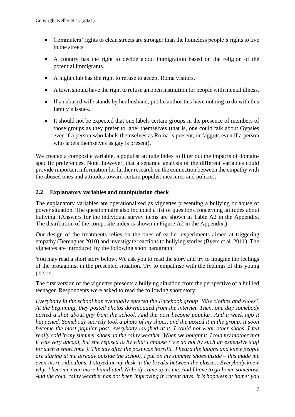- Commuters' rights to clean streets are stronger than the homeless people's rights to live in the streets
- A country has the right to decide about immigration based on the religion of the potential immigrants.
- A night club has the right to refuse to accept Roma visitors.
- A town should have the right to refuse an open institution for people with mental illness.
- If an abused wife stands by her husband, public authorities have nothing to do with this family's issues.
- It should not be expected that one labels certain groups in the presence of members of those groups as they prefer to label themselves (that is, one could talk about Gypsies even if a person who labels themselves as Roma is present, or faggots even if a person who labels themselves as gay is present).

We created a composite variable, a populist attitude index to filter out the impacts of domainspecific preferences. Note, however, that a separate analysis of the different variables could provide important information for further research on the connection between the empathy with the abused ones and attitudes toward certain populist measures and policies.

#### <span id="page-6-0"></span>**2.2 Explanatory variables and manipulation check**

The explanatory variables are operationalised as vignettes presenting a bullying or abuse of power situation. The questionnaire also included a list of questions concerning attitudes about bullying. (Answers for the individual survey items are shown in Table A2 in the Appendix. The distribution of the composite index is shown in Figure A2 in the Appendix.)

Our design of the treatments relies on the ones of earlier experiments aimed at triggering empathy (Berenguer 2010) and investigate reactions to bullying stories (Byers et al. 2011). The vignettes are introduced by the following short paragraph:

You may read a short story below. We ask you to read the story and try to imagine the feelings of the protagonist in the presented situation. Try to empathise with the feelings of this young person.

The first version of the vignettes presents a bullying situation from the perspective of a bullied teenager. Respondents were asked to read the following short story:

*Everybody in the school has eventually entered the Facebook group 'Silly clothes and shoes'. At the beginning, they posted photos downloaded from the internet. Then, one day somebody posted a shot about guy from the school. And the post become popular. And a week ago it happened. Somebody secretly took a photo of my shoes, and the posted it in the group. It soon become the most popular post, everybody laughed at it. I could not wear other shoes. I felt* really cold in my summer shoes, in the rainy weather. When we bought it, I told my mother that it was very uncool, but she refused to by what I choose ('we do not by such an expensive stuff for such a short time'). The day after the post was horrific. I heard the laughs and knew people are staring at me already outside the school. I put on my summer shoes inside  $-$  this made me *even more ridiculous. I stayed at my desk in the breaks between the classes. Everybody knew why. I become even more humiliated. Nobody came up to me. And I have to go home somehow. And the cold, rainy weather has not been improving in recent days. It is hopeless at home: you*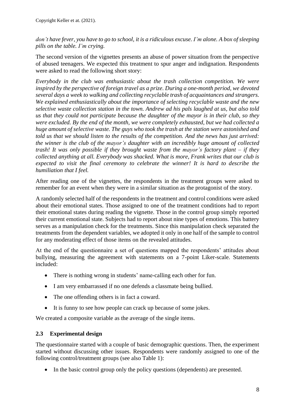#### don't have fever, you have to go to school, it is a ridiculous excuse. I'm alone. A box of sleeping *pills on the table. I'm crying.*

The second version of the vignettes presents an abuse of power situation from the perspective of abused teenagers. We expected this treatment to spur anger and indignation. Respondents were asked to read the following short story:

*Everybody in the club was enthusiastic about the trash collection competition. We were inspired by the perspective of foreign travel as a prize. During a one-month period, we devoted several days a week to walking and collecting recyclable trash of acquaintances and strangers. We explained enthusiastically about the importance of selecting recyclable waste and the new selective waste collection station in the town. Andrew ad his pals laughed at us, but also told us that they could not participate because the daughter of the mayor is in their club, so they were excluded. By the end of the month, we were completely exhausted, but we had collected a huge amount of selective waste. The guys who took the trash at the station were astonished and told us that we should listen to the results of the competition. And the news has just arrived: the winner is the club of the mayor's daughter with an incredibly huge amount of collected trash! It was only possible if they brought waste from the mayor's factory plant – if they collected anything at all. Everybody was shacked. What is more, Frank writes that our club is expected to visit the final ceremony to celebrate the winner! It is hard to describe the humiliation that I feel.*

After reading one of the vignettes, the respondents in the treatment groups were asked to remember for an event when they were in a similar situation as the protagonist of the story.

A randomly selected half of the respondents in the treatment and control conditions were asked about their emotional states. Those assigned to one of the treatment conditions had to report their emotional states during reading the vignette. Those in the control group simply reported their current emotional state. Subjects had to report about nine types of emotions. This battery serves as a manipulation check for the treatments. Since this manipulation check separated the treatments from the dependent variables, we adopted it only in one half of the sample to control for any moderating effect of those items on the revealed attitudes.

At the end of the questionnaire a set of questions mapped the respondents' attitudes about bullying, measuring the agreement with statements on a 7-point Liker-scale. Statements included:

- There is nothing wrong in students' name-calling each other for fun.
- I am very embarrassed if no one defends a classmate being bullied.
- The one offending others is in fact a coward.
- It is funny to see how people can crack up because of some jokes.

We created a composite variable as the average of the single items.

#### <span id="page-7-0"></span>**2.3 Experimental design**

The questionnaire started with a couple of basic demographic questions. Then, the experiment started without discussing other issues. Respondents were randomly assigned to one of the following control/treatment groups (see also Table 1):

• In the basic control group only the policy questions (dependents) are presented.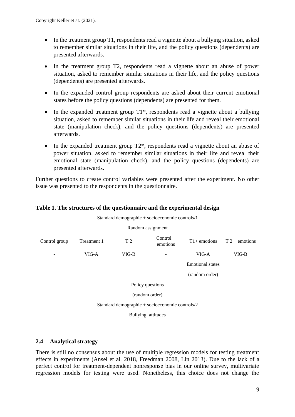- In the treatment group T1, respondents read a vignette about a bullying situation, asked to remember similar situations in their life, and the policy questions (dependents) are presented afterwards.
- In the treatment group T2, respondents read a vignette about an abuse of power situation, asked to remember similar situations in their life, and the policy questions (dependents) are presented afterwards.
- In the expanded control group respondents are asked about their current emotional states before the policy questions (dependents) are presented for them.
- In the expanded treatment group  $T1^*$ , respondents read a vignette about a bullying situation, asked to remember similar situations in their life and reveal their emotional state (manipulation check), and the policy questions (dependents) are presented afterwards.
- In the expanded treatment group  $T2^*$ , respondents read a vignette about an abuse of power situation, asked to remember similar situations in their life and reveal their emotional state (manipulation check), and the policy questions (dependents) are presented afterwards.

Further questions to create control variables were presented after the experiment. No other issue was presented to the respondents in the questionnaire.

#### **Table 1. The structures of the questionnaire and the experimental design**

| Standard demographic + socioeconomic controls/1 |                                                 |                |                         |                |                  |  |  |  |  |  |
|-------------------------------------------------|-------------------------------------------------|----------------|-------------------------|----------------|------------------|--|--|--|--|--|
| Random assignment                               |                                                 |                |                         |                |                  |  |  |  |  |  |
| Control group                                   | Treatment 1                                     | T <sub>2</sub> | $Control +$<br>emotions | $T1+$ emotions | $T 2 +$ emotions |  |  |  |  |  |
| -                                               | VIG-A                                           | $VIG-B$        |                         | VIG-A          | $VIG-B$          |  |  |  |  |  |
|                                                 | <b>Emotional</b> states                         |                |                         |                |                  |  |  |  |  |  |
| $\qquad \qquad$                                 |                                                 |                |                         | (random order) |                  |  |  |  |  |  |
|                                                 | Policy questions                                |                |                         |                |                  |  |  |  |  |  |
| (random order)                                  |                                                 |                |                         |                |                  |  |  |  |  |  |
|                                                 | Standard demographic + socioeconomic controls/2 |                |                         |                |                  |  |  |  |  |  |
|                                                 |                                                 |                |                         |                |                  |  |  |  |  |  |

Bullying: attitudes

#### <span id="page-8-0"></span>**2.4 Analytical strategy**

There is still no consensus about the use of multiple regression models for testing treatment effects in experiments (Ansel et al. 2018, Freedman 2008, Lin 2013). Due to the lack of a perfect control for treatment-dependent nonresponse bias in our online survey, multivariate regression models for testing were used. Nonetheless, this choice does not change the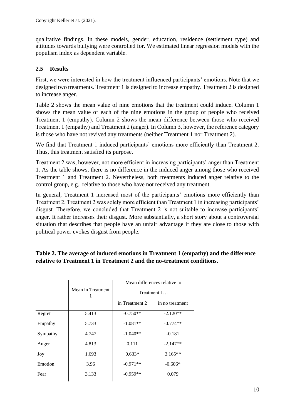qualitative findings. In these models, gender, education, residence (settlement type) and attitudes towards bullying were controlled for. We estimated linear regression models with the populism index as dependent variable.

## <span id="page-9-0"></span>**2.5 Results**

First, we were interested in how the treatment influenced participants' emotions. Note that we designed two treatments. Treatment 1 is designed to increase empathy. Treatment 2 is designed to increase anger.

Table 2 shows the mean value of nine emotions that the treatment could induce. Column 1 shows the mean value of each of the nine emotions in the group of people who received Treatment 1 (empathy). Column 2 shows the mean difference between those who received Treatment 1 (empathy) and Treatment 2 (anger). In Column 3, however, the reference category is those who have not revived any treatments (neither Treatment 1 nor Treatment 2).

We find that Treatment 1 induced participants' emotions more efficiently than Treatment 2. Thus, this treatment satisfied its purpose.

Treatment 2 was, however, not more efficient in increasing participants' anger than Treatment 1. As the table shows, there is no difference in the induced anger among those who received Treatment 1 and Treatment 2. Nevertheless, both treatments induced anger relative to the control group, e.g., relative to those who have not received any treatment.

In general, Treatment 1 increased most of the participants' emotions more efficiently than Treatment 2. Treatment 2 was solely more efficient than Treatment 1 in increasing participants' disgust. Therefore, we concluded that Treatment 2 is not suitable to increase participants' anger. It rather increases their disgust. More substantially, a short story about a controversial situation that describes that people have an unfair advantage if they are close to those with political power evokes disgust from people.

#### **Table 2. The average of induced emotions in Treatment 1 (empathy) and the difference relative to Treatment 1 in Treatment 2 and the no-treatment conditions.**

|          |                   | Mean differences relative to |                 |  |  |  |  |
|----------|-------------------|------------------------------|-----------------|--|--|--|--|
|          | Mean in Treatment | Treatment 1                  |                 |  |  |  |  |
|          |                   | in Treatment 2               | in no treatment |  |  |  |  |
| Regret   | 5.413             | $-0.750**$                   | $-2.120**$      |  |  |  |  |
| Empathy  | 5.733             | $-1.081**$                   | $-0.774**$      |  |  |  |  |
| Sympathy | 4.747             | $-1.040**$                   | $-0.181$        |  |  |  |  |
| Anger    | 4.813             | 0.111                        | $-2.147**$      |  |  |  |  |
| Joy      | 1.693             | $0.633*$                     | $3.165**$       |  |  |  |  |
| Emotion  | 3.96              | $-0.971**$                   | $-0.606*$       |  |  |  |  |
| Fear     | 3.133             | $-0.959**$                   | 0.079           |  |  |  |  |
|          |                   |                              |                 |  |  |  |  |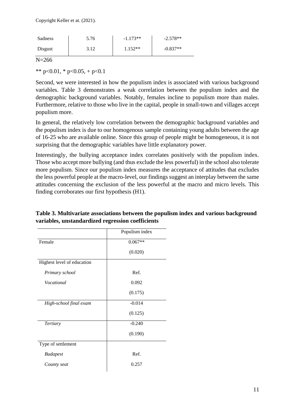| Sadness | 5.76       | $-1.173**$ | $-2.578**$ |
|---------|------------|------------|------------|
| Disgust | $1 \Omega$ | $1.152**$  | $-0.837**$ |

N=266

\*\* p<0.01, \* p<0.05, + p<0.1

Second, we were interested in how the populism index is associated with various background variables. Table 3 demonstrates a weak correlation between the populism index and the demographic background variables. Notably, females incline to populism more than males. Furthermore, relative to those who live in the capital, people in small-town and villages accept populism more.

In general, the relatively low correlation between the demographic background variables and the populism index is due to our homogenous sample containing young adults between the age of 16-25 who are available online. Since this group of people might be homogeneous, it is not surprising that the demographic variables have little explanatory power.

Interestingly, the bullying acceptance index correlates positively with the populism index. Those who accept more bullying (and thus exclude the less powerful) in the school also tolerate more populism. Since our populism index measures the acceptance of attitudes that excludes the less powerful people at the macro-level, our findings suggest an interplay between the same attitudes concerning the exclusion of the less powerful at the macro and micro levels. This finding corroborates our first hypothesis (H1).

|                            | Populism index |
|----------------------------|----------------|
| Female                     | $0.067**$      |
|                            | (0.020)        |
| Highest level of education |                |
| Primary school             | Ref.           |
| <i>Vocational</i>          | 0.092          |
|                            | (0.175)        |
| High-school final exam     | $-0.014$       |
|                            | (0.125)        |
| <b>Tertiary</b>            | $-0.240$       |
|                            | (0.190)        |
| Type of settlement         |                |
| <b>Budapest</b>            | Ref.           |
| County seat                | 0.257          |

**Table 3. Multivariate associations between the populism index and various background variables, unstandardized regression coefficients**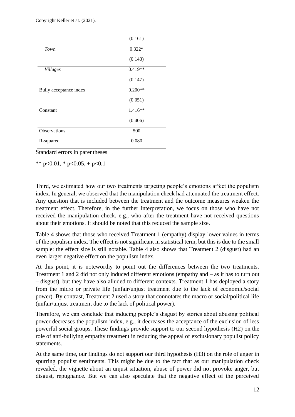|                        | (0.161)   |
|------------------------|-----------|
| Town                   | $0.322*$  |
|                        | (0.143)   |
| <b>Villages</b>        | $0.419**$ |
|                        | (0.147)   |
| Bully acceptance index | $0.200**$ |
|                        | (0.051)   |
| Constant               | $1.416**$ |
|                        | (0.406)   |
| Observations           | 500       |
| R-squared              | 0.080     |

Standard errors in parentheses

\*\* p<0.01, \* p<0.05, + p<0.1

Third, we estimated how our two treatments targeting people's emotions affect the populism index. In general, we observed that the manipulation check had attenuated the treatment effect. Any question that is included between the treatment and the outcome measures weaken the treatment effect. Therefore, in the further interpretation, we focus on those who have not received the manipulation check, e.g., who after the treatment have not received questions about their emotions. It should be noted that this reduced the sample size.

Table 4 shows that those who received Treatment 1 (empathy) display lower values in terms of the populism index. The effect is not significant in statistical term, but this is due to the small sample: the effect size is still notable. Table 4 also shows that Treatment 2 (disgust) had an even larger negative effect on the populism index.

At this point, it is noteworthy to point out the differences between the two treatments. Treatment 1 and 2 did not only induced different emotions (empathy and – as it has to turn out – disgust), but they have also alluded to different contexts. Treatment 1 has deployed a story from the micro or private life (unfair/unjust treatment due to the lack of economic/social power). By contrast, Treatment 2 used a story that connotates the macro or social/political life (unfair/unjust treatment due to the lack of political power).

Therefore, we can conclude that inducing people's disgust by stories about abusing political power decreases the populism index, e.g., it decreases the acceptance of the exclusion of less powerful social groups. These findings provide support to our second hypothesis (H2) on the role of anti-bullying empathy treatment in reducing the appeal of exclusionary populist policy statements.

At the same time, our findings do not support our third hypothesis (H3) on the role of anger in spurring populist sentiments. This might be due to the fact that as our manipulation check revealed, the vignette about an unjust situation, abuse of power did not provoke anger, but disgust, repugnance. But we can also speculate that the negative effect of the perceived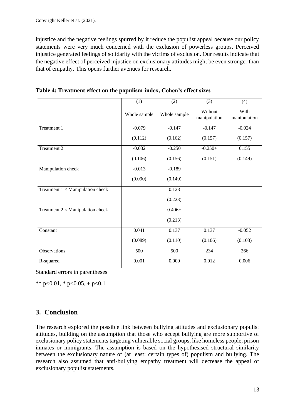injustice and the negative feelings spurred by it reduce the populist appeal because our policy statements were very much concerned with the exclusion of powerless groups. Perceived injustice generated feelings of solidarity with the victims of exclusion. Our results indicate that the negative effect of perceived injustice on exclusionary attitudes might be even stronger than that of empathy. This opens further avenues for research.

|                                         | (1)          | (2)          | (3)                     | (4)                  |
|-----------------------------------------|--------------|--------------|-------------------------|----------------------|
|                                         | Whole sample | Whole sample | Without<br>manipulation | With<br>manipulation |
| Treatment 1                             | $-0.079$     | $-0.147$     | $-0.147$                | $-0.024$             |
|                                         | (0.112)      | (0.162)      | (0.157)                 | (0.157)              |
| Treatment 2                             | $-0.032$     | $-0.250$     | $-0.250+$               | 0.155                |
|                                         | (0.106)      | (0.156)      | (0.151)                 | (0.149)              |
| Manipulation check                      | $-0.013$     | $-0.189$     |                         |                      |
|                                         | (0.090)      | (0.149)      |                         |                      |
| Treatment $1 \times$ Manipulation check |              | 0.123        |                         |                      |
|                                         |              | (0.223)      |                         |                      |
| Treatment $2 \times$ Manipulation check |              | $0.406 +$    |                         |                      |
|                                         |              | (0.213)      |                         |                      |
| Constant                                | 0.041        | 0.137        | 0.137                   | $-0.052$             |
|                                         | (0.089)      | (0.110)      | (0.106)                 | (0.103)              |
| Observations                            | 500          | 500          | 234                     | 266                  |
| R-squared                               | 0.001        | 0.009        | 0.012                   | 0.006                |

| Table 4: Treatment effect on the populism-index, Cohen's effect sizes |  |  |
|-----------------------------------------------------------------------|--|--|
|                                                                       |  |  |

Standard errors in parentheses

\*\* p<0.01, \* p<0.05, + p<0.1

### <span id="page-12-0"></span>**3. Conclusion**

The research explored the possible link between bullying attitudes and exclusionary populist attitudes, building on the assumption that those who accept bullying are more supportive of exclusionary policy statements targeting vulnerable social groups, like homeless people, prison inmates or immigrants. The assumption is based on the hypothesised structural similarity between the exclusionary nature of (at least: certain types of) populism and bullying. The research also assumed that anti-bullying empathy treatment will decrease the appeal of exclusionary populist statements.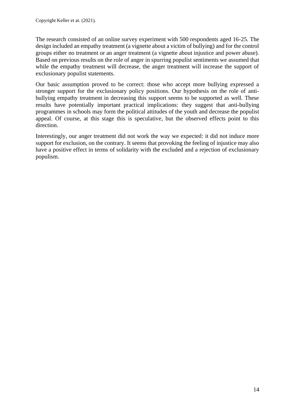The research consisted of an online survey experiment with 500 respondents aged 16-25. The design included an empathy treatment (a vignette about a victim of bullying) and for the control groups either no treatment or an anger treatment (a vignette about injustice and power abuse). Based on previous results on the role of anger in spurring populist sentiments we assumed that while the empathy treatment will decrease, the anger treatment will increase the support of exclusionary populist statements.

Our basic assumption proved to be correct: those who accept more bullying expressed a stronger support for the exclusionary policy positions. Our hypothesis on the role of antibullying empathy treatment in decreasing this support seems to be supported as well. These results have potentially important practical implications: they suggest that anti-bullying programmes in schools may form the political attitudes of the youth and decrease the populist appeal. Of course, at this stage this is speculative, but the observed effects point to this direction.

Interestingly, our anger treatment did not work the way we expected: it did not induce more support for exclusion, on the contrary. It seems that provoking the feeling of injustice may also have a positive effect in terms of solidarity with the excluded and a rejection of exclusionary populism.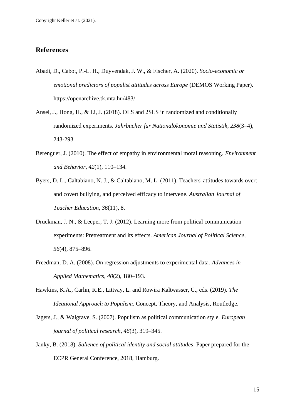#### <span id="page-14-0"></span>**References**

- Abadi, D., Cabot, P.-L. H., Duyvendak, J. W., & Fischer, A. (2020). *Socio-economic or emotional predictors of populist attitudes across Europe* (DEMOS Working Paper). <https://openarchive.tk.mta.hu/483/>
- Ansel, J., Hong, H., & Li, J. (2018). OLS and 2SLS in randomized and conditionally randomized experiments. *Jahrbücher für Nationalökonomie und Statistik*, *238*(3–4), 243-293.
- Berenguer, J. (2010). The effect of empathy in environmental moral reasoning. *Environment and Behavior*, *42*(1), 110–134.
- Byers, D. L., Caltabiano, N. J., & Caltabiano, M. L. (2011). Teachers' attitudes towards overt and covert bullying, and perceived efficacy to intervene. *Australian Journal of Teacher Education*, *36*(11), 8.
- Druckman, J. N., & Leeper, T. J. (2012). Learning more from political communication experiments: Pretreatment and its effects. *American Journal of Political Science*, *56*(4), 875–896.
- Freedman, D. A. (2008). On regression adjustments to experimental data. *Advances in Applied Mathematics*, *40*(2), 180–193.
- Hawkins, K.A., Carlin, R.E., Littvay, L. and Rowira Kaltwasser, C., eds. (2019). *The Ideational Approach to Populism*. Concept, Theory, and Analysis, Routledge.
- Jagers, J., & Walgrave, S. (2007). Populism as political communication style. *European journal of political research*, *46*(3), 319–345.
- Janky, B. (2018). *Salience of political identity and social attitudes*. Paper prepared for the ECPR General Conference, 2018, Hamburg.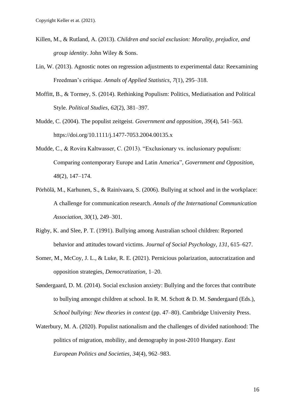- Killen, M., & Rutland, A. (2013). *Children and social exclusion: Morality, prejudice, and group identity*. John Wiley & Sons.
- Lin, W. (2013). Agnostic notes on regression adjustments to experimental data: Reexamining Freedman's critique. *Annals of Applied Statistics*, *7*(1), 295–318.
- Moffitt, B., & Tormey, S. (2014). Rethinking Populism: Politics, Mediatisation and Political Style. *Political Studies*, *62*(2), 381–397.
- Mudde, C. (2004). The populist zeitgeist. *Government and opposition*, *39*(4), 541–563. https://doi.org/10.1111/j.1477-7053.2004.00135.x
- Mudde, C., & Rovira Kaltwasser, C. (2013). "Exclusionary vs. inclusionary populism: Comparing contemporary Europe and Latin America", *Government and Opposition*, *48*(2), 147–174.
- Pörhölä, M., Karhunen, S., & Rainivaara, S. (2006). Bullying at school and in the workplace: A challenge for communication research. *Annals of the International Communication Association*, *30*(1), 249–301.
- Rigby, K. and Slee, P. T. (1991). Bullying among Australian school children: Reported behavior and attitudes toward victims. *Journal of Social Psychology*, *131*, 615–627.
- Somer, M., McCoy, J. L., & Luke, R. E. (2021). Pernicious polarization, autocratization and opposition strategies, *Democratization*, 1–20.
- Søndergaard, D. M. (2014). Social exclusion anxiety: Bullying and the forces that contribute to bullying amongst children at school. In R. M. Schott & D. M. Søndergaard (Eds.), *School bullying: New theories in context* (pp. 47–80). Cambridge University Press.
- Waterbury, M. A. (2020). Populist nationalism and the challenges of divided nationhood: The politics of migration, mobility, and demography in post-2010 Hungary. *East European Politics and Societies*, *34*(4), 962–983.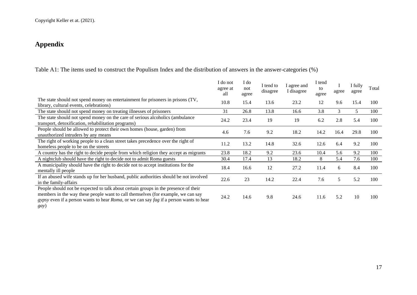## **Appendix**

Table A1: The items used to construct the Populism Index and the distribution of answers in the answer-categories (%)

<span id="page-16-0"></span>

|                                                                                                                                                                                                                                                                                                 | I do not<br>agree at<br>all | I do<br>not<br>agree | I tend to<br>disagree | I agree and<br>I disagree | I tend<br>tο<br>agree | agree | I fully<br>agree | Total |
|-------------------------------------------------------------------------------------------------------------------------------------------------------------------------------------------------------------------------------------------------------------------------------------------------|-----------------------------|----------------------|-----------------------|---------------------------|-----------------------|-------|------------------|-------|
| The state should not spend money on entertainment for prisoners in prisons (TV,<br>library, cultural events, celebrations)                                                                                                                                                                      | 10.8                        | 15.4                 | 13.6                  | 23.2                      | 12                    | 9.6   | 15.4             | 100   |
| The state should not spend money on treating illnesses of prisoners                                                                                                                                                                                                                             | 31                          | 26.8                 | 13.8                  | 16.6                      | 3.8                   | 3     | 5.               | 100   |
| The state should not spend money on the care of serious alcoholics (ambulance<br>transport, detoxification, rehabilitation programs)                                                                                                                                                            | 24.2                        | 23.4                 | 19                    | 19                        | 6.2                   | 2.8   | 5.4              | 100   |
| People should be allowed to protect their own homes (house, garden) from<br>unauthorized intruders by any means                                                                                                                                                                                 | 4.6                         | 7.6                  | 9.2                   | 18.2                      | 14.2                  | 16.4  | 29.8             | 100   |
| The right of working people to a clean street takes precedence over the right of<br>homeless people to be on the streets                                                                                                                                                                        | 11.2                        | 13.2                 | 14.8                  | 32.6                      | 12.6                  | 6.4   | 9.2              | 100   |
| A country has the right to decide people from which religion they accept as migrants                                                                                                                                                                                                            | 23.8                        | 18.2                 | 9.2                   | 23.6                      | 10.4                  | 5.6   | 9.2              | 100   |
| A nightclub should have the right to decide not to admit Roma guests                                                                                                                                                                                                                            | 30.4                        | 17.4                 | 13                    | 18.2                      | 8                     | 5.4   | 7.6              | 100   |
| A municipality should have the right to decide not to accept institutions for the<br>mentally ill people                                                                                                                                                                                        | 18.4                        | 16.6                 | 12                    | 27.2                      | 11.4                  | 6     | 8.4              | 100   |
| If an abused wife stands up for her husband, public authorities should be not involved<br>in the family-affairs                                                                                                                                                                                 | 22.6                        | 23                   | 14.2                  | 22.4                      | 7.6                   | 5     | 5.2              | 100   |
| People should not be expected to talk about certain groups in the presence of their<br>members in the way these people want to call themselves (for example, we can say<br><i>gypsy</i> even if a person wants to hear <i>Roma</i> , or we can say <i>fag</i> if a person wants to hear<br>gay) | 24.2                        | 14.6                 | 9.8                   | 24.6                      | 11.6                  | 5.2   | 10               | 100   |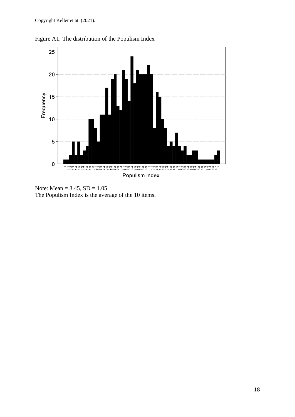

Figure A1: The distribution of the Populism Index

Note: Mean =  $3.45$ , SD =  $1.05$ The Populism Index is the average of the 10 items.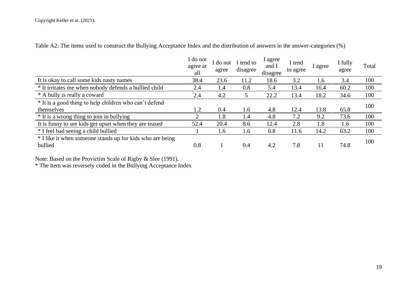Table A2: The items used to construct the Bullying Acceptance Index and the distribution of answers in the answer-categories (%)

|                                                           | I do not<br>agree at<br>all | do not<br>agree | I tend to<br>disagree | I agree<br>and I<br>disagree | I tend<br>to agree | l agree | I fully<br>agree | Total |
|-----------------------------------------------------------|-----------------------------|-----------------|-----------------------|------------------------------|--------------------|---------|------------------|-------|
| It is okay to call some kids nasty names                  | 38.4                        | 23.6            | 11.2                  | 18.6                         | 3.2                | 1.6     | 3.4              | 100   |
| * It irritates me when nobody defends a bullied child     | 2.4                         | 1.4             | 0.8                   | 5.4                          | 13.4               | 16.4    | 60.2             | 100   |
| * A bully is really a coward                              | 2.4                         | 4.2             | 5                     | 22.2                         | 13.4               | 18.2    | 34.6             | 100   |
| * It is a good thing to help children who can't defend    |                             |                 |                       |                              |                    |         |                  | 100   |
| themselves                                                | 1.2                         | 0.4             | 1.6                   | 4.8                          | 12.4               | 13.8    | 65.8             |       |
| * It is a wrong thing to join in bullying                 | ◠                           | 1.8             | 1.4                   | 4.8                          | 7.2                | 9.2     | 73.6             | 100   |
| It is funny to see kids get upset when they are teased    | 52.4                        | 20.4            | 8.6                   | 12.4                         | 2.8                | 1.8     | 1.6              | 100   |
| * I feel bad seeing a child bullied                       |                             | 1.6             | 1.6                   | 6.8                          | 11.6               | 14.2    | 63.2             | 100   |
| * I like it when someone stands up for kids who are being |                             |                 |                       |                              |                    |         |                  | 100   |
| bullied                                                   | 0.8                         |                 | 0.4                   | 4.2                          | 7.8                | 11      | 74.8             |       |

Note: Based on the Provictim Scale of Rigby & Slee (1991).

\* The item was reversely coded in the Bullying Acceptance Index